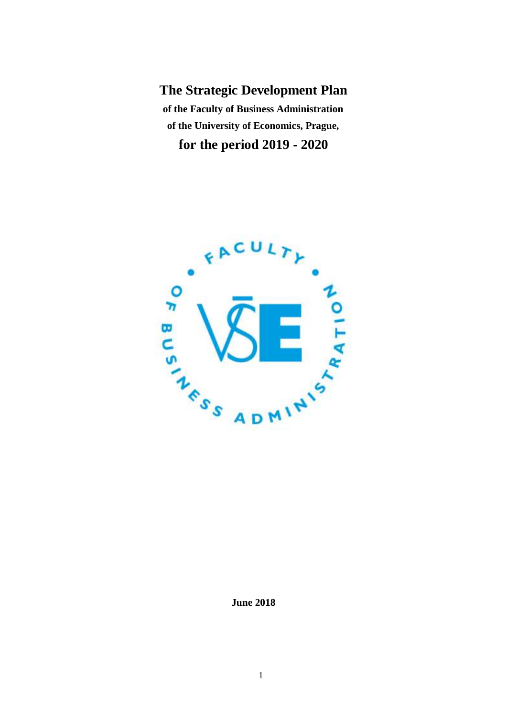**The Strategic Development Plan of the Faculty of Business Administration of the University of Economics, Prague, for the period 2019 - 2020**



**June 2018**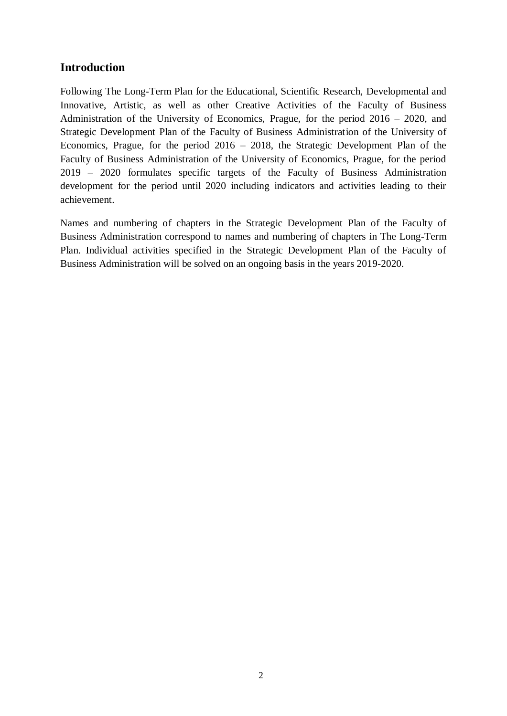# **Introduction**

Following The Long-Term Plan for the Educational, Scientific Research, Developmental and Innovative, Artistic, as well as other Creative Activities of the Faculty of Business Administration of the University of Economics, Prague, for the period 2016 – 2020, and Strategic Development Plan of the Faculty of Business Administration of the University of Economics, Prague, for the period 2016 – 2018, the Strategic Development Plan of the Faculty of Business Administration of the University of Economics, Prague, for the period 2019 – 2020 formulates specific targets of the Faculty of Business Administration development for the period until 2020 including indicators and activities leading to their achievement.

Names and numbering of chapters in the Strategic Development Plan of the Faculty of Business Administration correspond to names and numbering of chapters in The Long-Term Plan. Individual activities specified in the Strategic Development Plan of the Faculty of Business Administration will be solved on an ongoing basis in the years 2019-2020.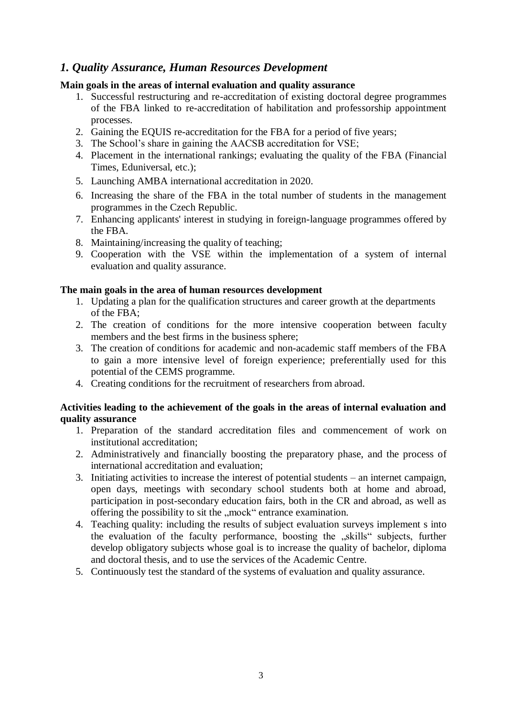## *1. Quality Assurance, Human Resources Development*

### **Main goals in the areas of internal evaluation and quality assurance**

- 1. Successful restructuring and re-accreditation of existing doctoral degree programmes of the FBA linked to re-accreditation of habilitation and professorship appointment processes.
- 2. Gaining the EQUIS re-accreditation for the FBA for a period of five years;
- 3. The School's share in gaining the AACSB accreditation for VSE;
- 4. Placement in the international rankings; evaluating the quality of the FBA (Financial Times, Eduniversal, etc.);
- 5. Launching AMBA international accreditation in 2020.
- 6. Increasing the share of the FBA in the total number of students in the management programmes in the Czech Republic.
- 7. Enhancing applicants' interest in studying in foreign-language programmes offered by the FBA.
- 8. Maintaining/increasing the quality of teaching;
- 9. Cooperation with the VSE within the implementation of a system of internal evaluation and quality assurance.

### **The main goals in the area of human resources development**

- 1. Updating a plan for the qualification structures and career growth at the departments of the FBA;
- 2. The creation of conditions for the more intensive cooperation between faculty members and the best firms in the business sphere;
- 3. The creation of conditions for academic and non-academic staff members of the FBA to gain a more intensive level of foreign experience; preferentially used for this potential of the CEMS programme.
- 4. Creating conditions for the recruitment of researchers from abroad.

### **Activities leading to the achievement of the goals in the areas of internal evaluation and quality assurance**

- 1. Preparation of the standard accreditation files and commencement of work on institutional accreditation;
- 2. Administratively and financially boosting the preparatory phase, and the process of international accreditation and evaluation;
- 3. Initiating activities to increase the interest of potential students an internet campaign, open days, meetings with secondary school students both at home and abroad, participation in post-secondary education fairs, both in the CR and abroad, as well as offering the possibility to sit the "mock" entrance examination.
- 4. Teaching quality: including the results of subject evaluation surveys implement s into the evaluation of the faculty performance, boosting the "skills" subjects, further develop obligatory subjects whose goal is to increase the quality of bachelor, diploma and doctoral thesis, and to use the services of the Academic Centre.
- 5. Continuously test the standard of the systems of evaluation and quality assurance.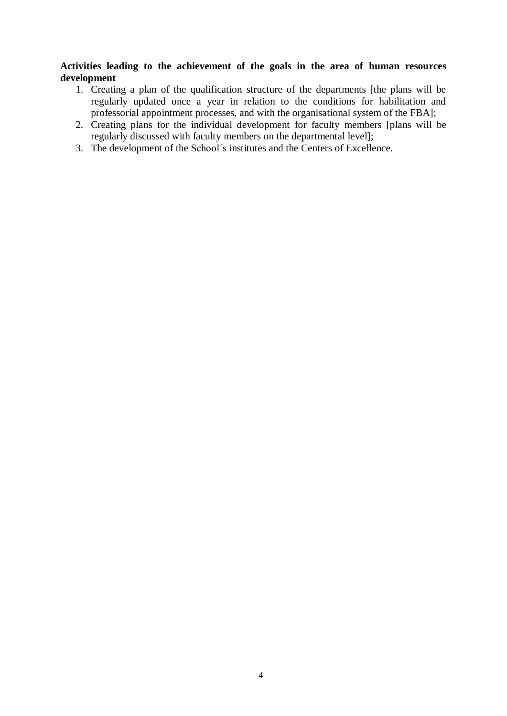### **Activities leading to the achievement of the goals in the area of human resources development**

- 1. Creating a plan of the qualification structure of the departments [the plans will be regularly updated once a year in relation to the conditions for habilitation and professorial appointment processes, and with the organisational system of the FBA];
- 2. Creating plans for the individual development for faculty members [plans will be regularly discussed with faculty members on the departmental level];
- 3. The development of the School´s institutes and the Centers of Excellence.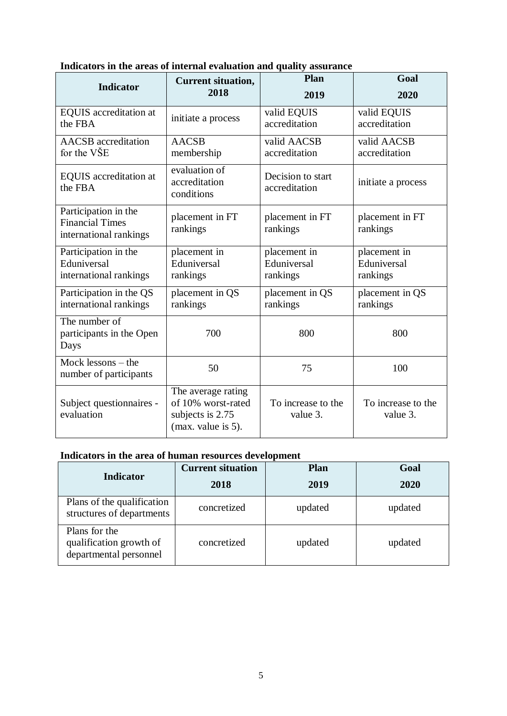| <b>Indicator</b>                                                         | <b>Current situation,</b>                                                          | Plan                               | Goal                           |
|--------------------------------------------------------------------------|------------------------------------------------------------------------------------|------------------------------------|--------------------------------|
|                                                                          | 2018                                                                               | 2019                               | 2020                           |
| <b>EQUIS</b> accreditation at                                            | initiate a process                                                                 | valid EQUIS                        | valid EQUIS                    |
| the FBA                                                                  |                                                                                    | accreditation                      | accreditation                  |
| <b>AACSB</b> accreditation                                               | <b>AACSB</b>                                                                       | valid AACSB                        | valid AACSB                    |
| for the VŠE                                                              | membership                                                                         | accreditation                      | accreditation                  |
| <b>EQUIS</b> accreditation at<br>the FBA                                 | evaluation of<br>accreditation<br>conditions                                       | Decision to start<br>accreditation | initiate a process             |
| Participation in the<br><b>Financial Times</b><br>international rankings | placement in FT<br>rankings                                                        | placement in FT<br>rankings        | placement in FT<br>rankings    |
| Participation in the                                                     | placement in                                                                       | placement in                       | placement in                   |
| Eduniversal                                                              | Eduniversal                                                                        | Eduniversal                        | Eduniversal                    |
| international rankings                                                   | rankings                                                                           | rankings                           | rankings                       |
| Participation in the QS                                                  | placement in QS                                                                    | placement in QS                    | placement in QS                |
| international rankings                                                   | rankings                                                                           | rankings                           | rankings                       |
| The number of<br>participants in the Open<br>Days                        | 700                                                                                | 800                                | 800                            |
| Mock lessons $-$ the<br>number of participants                           | 50                                                                                 | 75                                 | 100                            |
| Subject questionnaires -<br>evaluation                                   | The average rating<br>of 10% worst-rated<br>subjects is 2.75<br>(max. value is 5). | To increase to the<br>value 3.     | To increase to the<br>value 3. |

## **Indicators in the areas of internal evaluation and quality assurance**

## **Indicators in the area of human resources development**

| <b>Indicator</b>                                                   | <b>Current situation</b> | <b>Plan</b> | Goal    |
|--------------------------------------------------------------------|--------------------------|-------------|---------|
|                                                                    | 2018                     | 2019        | 2020    |
| Plans of the qualification<br>structures of departments            | concretized              | updated     | updated |
| Plans for the<br>qualification growth of<br>departmental personnel | concretized              | updated     | updated |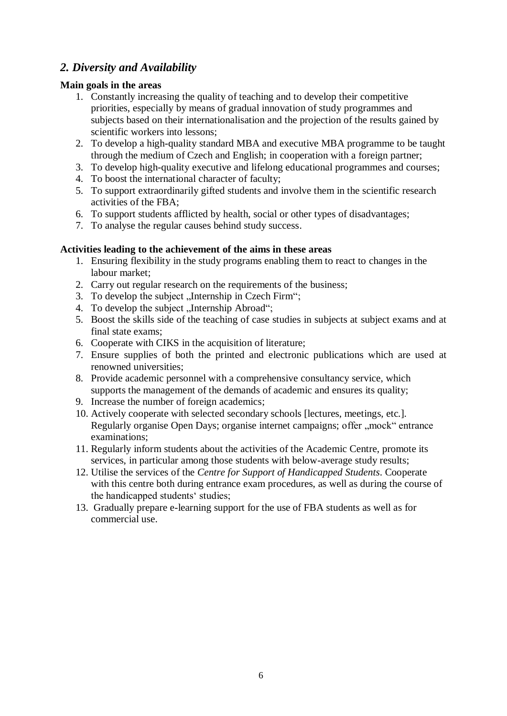# *2. Diversity and Availability*

## **Main goals in the areas**

- 1. Constantly increasing the quality of teaching and to develop their competitive priorities, especially by means of gradual innovation of study programmes and subjects based on their internationalisation and the projection of the results gained by scientific workers into lessons;
- 2. To develop a high-quality standard MBA and executive MBA programme to be taught through the medium of Czech and English; in cooperation with a foreign partner;
- 3. To develop high-quality executive and lifelong educational programmes and courses;
- 4. To boost the international character of faculty;
- 5. To support extraordinarily gifted students and involve them in the scientific research activities of the FBA;
- 6. To support students afflicted by health, social or other types of disadvantages;
- 7. To analyse the regular causes behind study success.

## **Activities leading to the achievement of the aims in these areas**

- 1. Ensuring flexibility in the study programs enabling them to react to changes in the labour market;
- 2. Carry out regular research on the requirements of the business;
- 3. To develop the subject "Internship in Czech Firm";
- 4. To develop the subject "Internship Abroad";
- 5. Boost the skills side of the teaching of case studies in subjects at subject exams and at final state exams;
- 6. Cooperate with CIKS in the acquisition of literature;
- 7. Ensure supplies of both the printed and electronic publications which are used at renowned universities;
- 8. Provide academic personnel with a comprehensive consultancy service, which supports the management of the demands of academic and ensures its quality;
- 9. Increase the number of foreign academics;
- 10. Actively cooperate with selected secondary schools [lectures, meetings, etc.]. Regularly organise Open Days; organise internet campaigns; offer "mock" entrance examinations;
- 11. Regularly inform students about the activities of the Academic Centre, promote its services, in particular among those students with below-average study results;
- 12. Utilise the services of the *Centre for Support of Handicapped Students*. Cooperate with this centre both during entrance exam procedures, as well as during the course of the handicapped students' studies;
- 13. Gradually prepare e-learning support for the use of FBA students as well as for commercial use.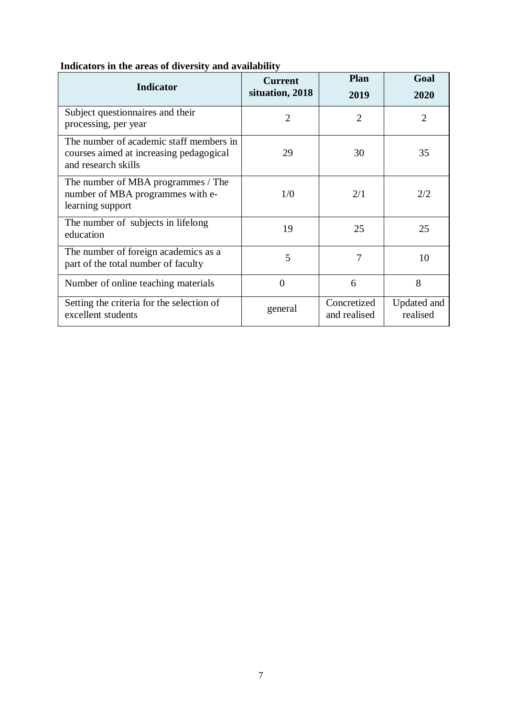| <b>Indicator</b>                                                                                          | <b>Current</b><br>situation, 2018 | <b>Plan</b><br>2019         | Goal<br>2020            |
|-----------------------------------------------------------------------------------------------------------|-----------------------------------|-----------------------------|-------------------------|
| Subject questionnaires and their<br>processing, per year                                                  | $\overline{2}$                    | $\overline{2}$              | $\overline{2}$          |
| The number of academic staff members in<br>courses aimed at increasing pedagogical<br>and research skills | 29                                | 30                          | 35                      |
| The number of MBA programmes / The<br>number of MBA programmes with e-<br>learning support                | 1/0                               | 2/1                         | 2/2                     |
| The number of subjects in lifelong<br>education                                                           | 19                                | 25                          | 25                      |
| The number of foreign academics as a<br>part of the total number of faculty                               | 5                                 | 7                           | 10                      |
| Number of online teaching materials                                                                       | $\Omega$                          | 6                           | 8                       |
| Setting the criteria for the selection of<br>excellent students                                           | general                           | Concretized<br>and realised | Updated and<br>realised |

## **Indicators in the areas of diversity and availability**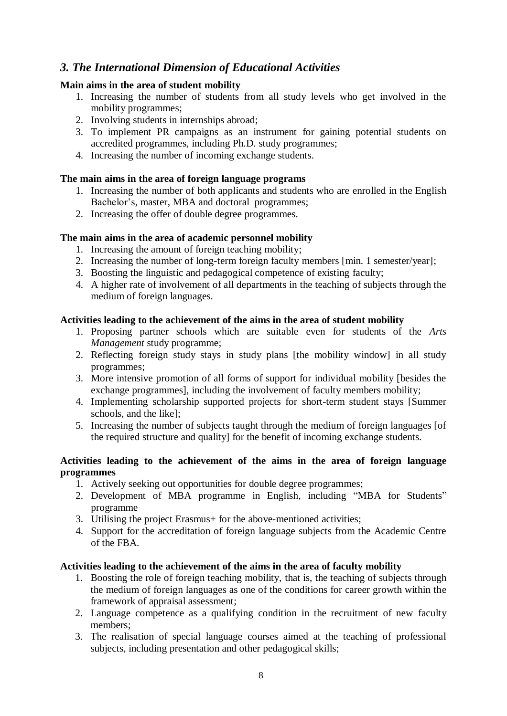# *3. The International Dimension of Educational Activities*

## **Main aims in the area of student mobility**

- 1. Increasing the number of students from all study levels who get involved in the mobility programmes;
- 2. Involving students in internships abroad;
- 3. To implement PR campaigns as an instrument for gaining potential students on accredited programmes, including Ph.D. study programmes;
- 4. Increasing the number of incoming exchange students.

## **The main aims in the area of foreign language programs**

- 1. Increasing the number of both applicants and students who are enrolled in the English Bachelor's, master, MBA and doctoral programmes;
- 2. Increasing the offer of double degree programmes.

## **The main aims in the area of academic personnel mobility**

- 1. Increasing the amount of foreign teaching mobility;
- 2. Increasing the number of long-term foreign faculty members [min. 1 semester/year];
- 3. Boosting the linguistic and pedagogical competence of existing faculty;
- 4. A higher rate of involvement of all departments in the teaching of subjects through the medium of foreign languages.

## **Activities leading to the achievement of the aims in the area of student mobility**

- 1. Proposing partner schools which are suitable even for students of the *Arts Management* study programme;
- 2. Reflecting foreign study stays in study plans [the mobility window] in all study programmes;
- 3. More intensive promotion of all forms of support for individual mobility [besides the exchange programmes], including the involvement of faculty members mobility;
- 4. Implementing scholarship supported projects for short-term student stays [Summer schools, and the like];
- 5. Increasing the number of subjects taught through the medium of foreign languages [of the required structure and quality] for the benefit of incoming exchange students.

### **Activities leading to the achievement of the aims in the area of foreign language programmes**

- 1. Actively seeking out opportunities for double degree programmes;
- 2. Development of MBA programme in English, including "MBA for Students" programme
- 3. Utilising the project Erasmus+ for the above-mentioned activities;
- 4. Support for the accreditation of foreign language subjects from the Academic Centre of the FBA.

### **Activities leading to the achievement of the aims in the area of faculty mobility**

- 1. Boosting the role of foreign teaching mobility, that is, the teaching of subjects through the medium of foreign languages as one of the conditions for career growth within the framework of appraisal assessment;
- 2. Language competence as a qualifying condition in the recruitment of new faculty members;
- 3. The realisation of special language courses aimed at the teaching of professional subjects, including presentation and other pedagogical skills;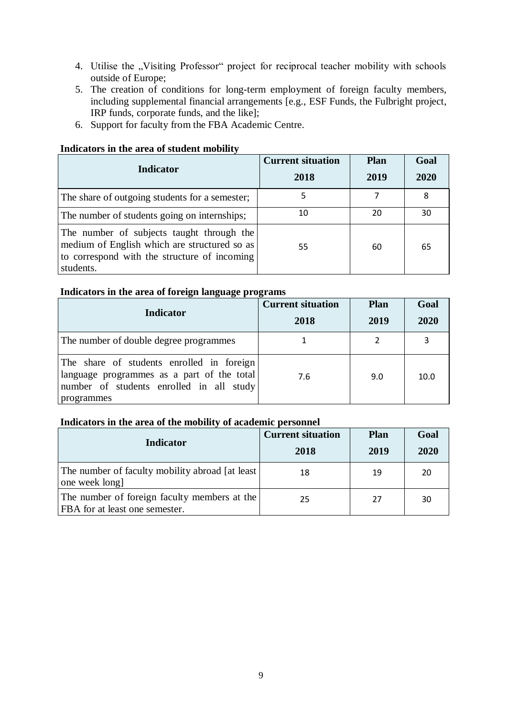- 4. Utilise the "Visiting Professor" project for reciprocal teacher mobility with schools outside of Europe;
- 5. The creation of conditions for long-term employment of foreign faculty members, including supplemental financial arrangements [e.g., ESF Funds, the Fulbright project, IRP funds, corporate funds, and the like];
- 6. Support for faculty from the FBA Academic Centre.

### **Indicators in the area of student mobility**

| Indicator                                                                                                                                              | <b>Current situation</b><br>2018 | <b>Plan</b><br>2019 | Goal<br>2020 |
|--------------------------------------------------------------------------------------------------------------------------------------------------------|----------------------------------|---------------------|--------------|
| The share of outgoing students for a semester;                                                                                                         | 5                                | 7                   | 8            |
| The number of students going on internships;                                                                                                           | 10                               | 20                  | 30           |
| The number of subjects taught through the<br>medium of English which are structured so as<br>to correspond with the structure of incoming<br>students. | 55                               | 60                  | 65           |

#### **Indicators in the area of foreign language programs**

| <b>Indicator</b>                                                                                                                                  | <b>Current situation</b><br>2018 | Plan<br>2019 | Goal<br>2020 |
|---------------------------------------------------------------------------------------------------------------------------------------------------|----------------------------------|--------------|--------------|
| The number of double degree programmes                                                                                                            |                                  |              |              |
| The share of students enrolled in foreign<br>language programmes as a part of the total<br>number of students enrolled in all study<br>programmes | 7.6                              | 9.0          | 10.0         |

#### **Indicators in the area of the mobility of academic personnel**

| <b>Indicator</b>                                                               | <b>Current situation</b><br>2018 | <b>Plan</b><br>2019 | Goal<br>2020 |
|--------------------------------------------------------------------------------|----------------------------------|---------------------|--------------|
| The number of faculty mobility abroad [at least]<br>one week long]             | 18                               | 19                  | 20           |
| The number of foreign faculty members at the<br>FBA for at least one semester. | 25                               | 27                  | 30           |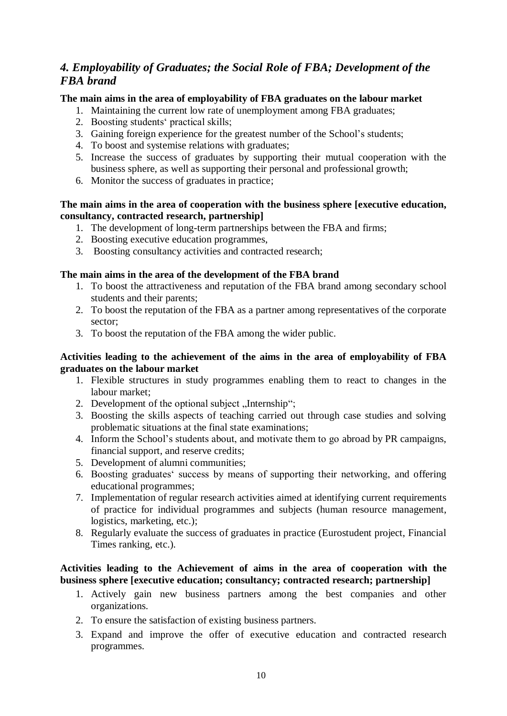# *4. Employability of Graduates; the Social Role of FBA; Development of the FBA brand*

### **The main aims in the area of employability of FBA graduates on the labour market**

- 1. Maintaining the current low rate of unemployment among FBA graduates;
- 2. Boosting students' practical skills;
- 3. Gaining foreign experience for the greatest number of the School's students;
- 4. To boost and systemise relations with graduates;
- 5. Increase the success of graduates by supporting their mutual cooperation with the business sphere, as well as supporting their personal and professional growth;
- 6. Monitor the success of graduates in practice;

### **The main aims in the area of cooperation with the business sphere [executive education, consultancy, contracted research, partnership]**

- 1. The development of long-term partnerships between the FBA and firms;
- 2. Boosting executive education programmes,
- 3. Boosting consultancy activities and contracted research;

#### **The main aims in the area of the development of the FBA brand**

- 1. To boost the attractiveness and reputation of the FBA brand among secondary school students and their parents;
- 2. To boost the reputation of the FBA as a partner among representatives of the corporate sector;
- 3. To boost the reputation of the FBA among the wider public.

### **Activities leading to the achievement of the aims in the area of employability of FBA graduates on the labour market**

- 1. Flexible structures in study programmes enabling them to react to changes in the labour market;
- 2. Development of the optional subject "Internship";
- 3. Boosting the skills aspects of teaching carried out through case studies and solving problematic situations at the final state examinations;
- 4. Inform the School's students about, and motivate them to go abroad by PR campaigns, financial support, and reserve credits;
- 5. Development of alumni communities;
- 6. Boosting graduates' success by means of supporting their networking, and offering educational programmes;
- 7. Implementation of regular research activities aimed at identifying current requirements of practice for individual programmes and subjects (human resource management, logistics, marketing, etc.);
- 8. Regularly evaluate the success of graduates in practice (Eurostudent project, Financial Times ranking, etc.).

### **Activities leading to the Achievement of aims in the area of cooperation with the business sphere [executive education; consultancy; contracted research; partnership]**

- 1. Actively gain new business partners among the best companies and other organizations.
- 2. To ensure the satisfaction of existing business partners.
- 3. Expand and improve the offer of executive education and contracted research programmes.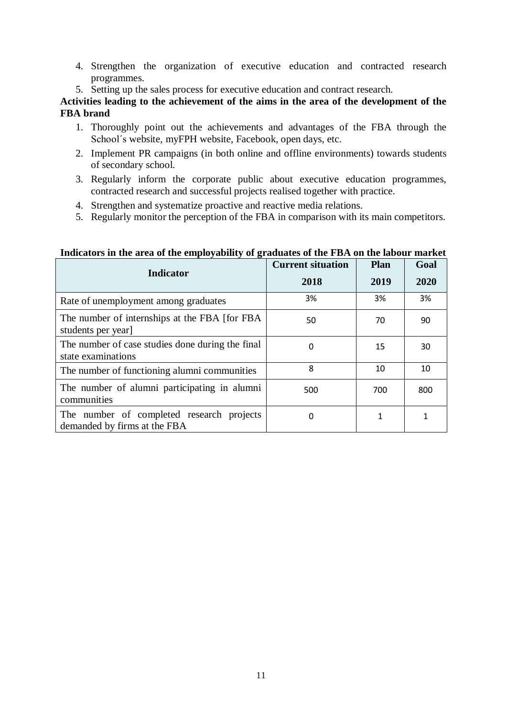- 4. Strengthen the organization of executive education and contracted research programmes.
- 5. Setting up the sales process for executive education and contract research.

**Activities leading to the achievement of the aims in the area of the development of the FBA brand**

- 1. Thoroughly point out the achievements and advantages of the FBA through the School´s website, myFPH website, Facebook, open days, etc.
- 2. Implement PR campaigns (in both online and offline environments) towards students of secondary school.
- 3. Regularly inform the corporate public about executive education programmes, contracted research and successful projects realised together with practice.
- 4. Strengthen and systematize proactive and reactive media relations.
- 5. Regularly monitor the perception of the FBA in comparison with its main competitors.

| <b>Indicator</b>                                                          | <b>Current situation</b> | <b>Plan</b> | Goal |
|---------------------------------------------------------------------------|--------------------------|-------------|------|
|                                                                           | 2018                     | 2019        | 2020 |
| Rate of unemployment among graduates                                      | 3%                       | 3%          | 3%   |
| The number of internships at the FBA [for FBA]<br>students per year]      | 50                       | 70          | 90   |
| The number of case studies done during the final<br>state examinations    | 0                        | 15          | 30   |
| The number of functioning alumni communities                              | 8                        | 10          | 10   |
| The number of alumni participating in alumni<br>communities               | 500                      | 700         | 800  |
| The number of completed research projects<br>demanded by firms at the FBA | 0                        |             | 1    |

## **Indicators in the area of the employability of graduates of the FBA on the labour market**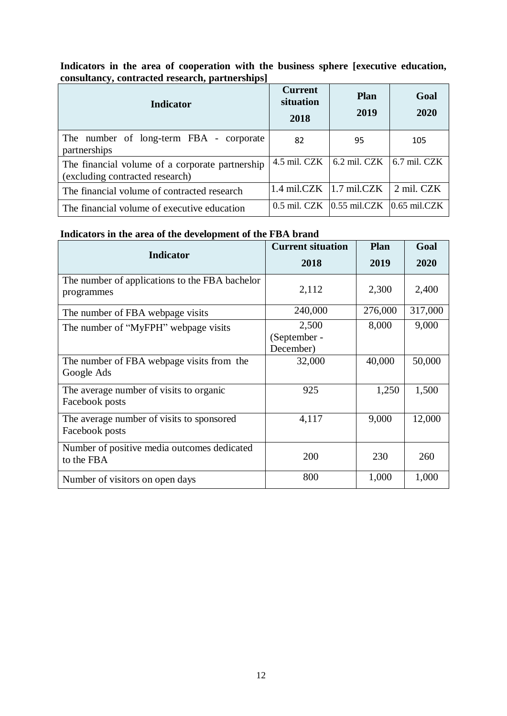| Indicator                                                                          | <b>Current</b><br>situation<br>2018 | <b>Plan</b><br>2019                              | Goal<br>2020   |
|------------------------------------------------------------------------------------|-------------------------------------|--------------------------------------------------|----------------|
| The number of long-term FBA - corporate<br>partnerships                            | 82                                  | 95                                               | 105            |
| The financial volume of a corporate partnership<br>(excluding contracted research) | 4.5 mil. CZK                        | 6.2 mil. CZK                                     | $6.7$ mil. CZK |
| The financial volume of contracted research                                        |                                     | 1.4 mil.CZK $ 1.7 \text{ mil.CZK} $              | 2 mil. CZK     |
| The financial volume of executive education                                        |                                     | $0.5$ mil. CZK $ 0.55$ mil. CZK $ 0.65$ mil. CZK |                |

## **Indicators in the area of cooperation with the business sphere [executive education, consultancy, contracted research, partnerships]**

## **Indicators in the area of the development of the FBA brand**

| <b>Indicator</b>                                             | <b>Current situation</b>           | <b>Plan</b> | Goal    |
|--------------------------------------------------------------|------------------------------------|-------------|---------|
|                                                              | 2018                               | 2019        | 2020    |
| The number of applications to the FBA bachelor<br>programmes | 2,112                              | 2,300       | 2,400   |
| The number of FBA webpage visits                             | 240,000                            | 276,000     | 317,000 |
| The number of "MyFPH" webpage visits                         | 2,500<br>(September -<br>December) | 8,000       | 9,000   |
| The number of FBA webpage visits from the<br>Google Ads      | 32,000                             | 40,000      | 50,000  |
| The average number of visits to organic<br>Facebook posts    | 925                                | 1,250       | 1,500   |
| The average number of visits to sponsored<br>Facebook posts  | 4,117                              | 9,000       | 12,000  |
| Number of positive media outcomes dedicated<br>to the FBA    | 200                                | 230         | 260     |
| Number of visitors on open days                              | 800                                | 1,000       | 1,000   |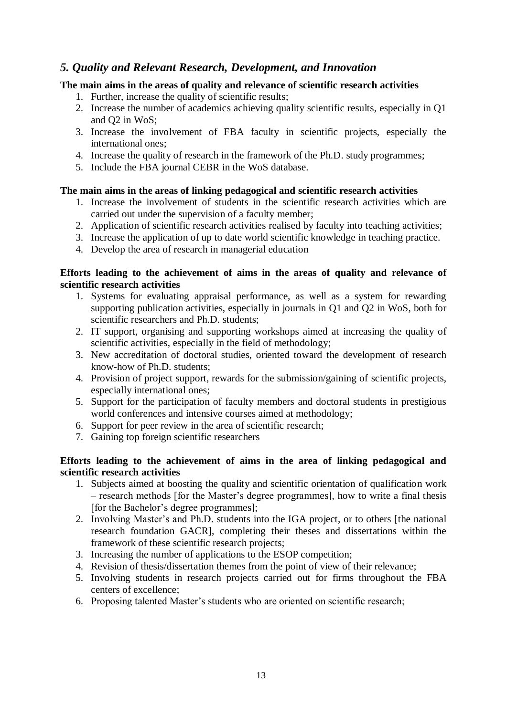## *5. Quality and Relevant Research, Development, and Innovation*

### **The main aims in the areas of quality and relevance of scientific research activities**

- 1. Further, increase the quality of scientific results;
- 2. Increase the number of academics achieving quality scientific results, especially in Q1 and Q2 in WoS;
- 3. Increase the involvement of FBA faculty in scientific projects, especially the international ones;
- 4. Increase the quality of research in the framework of the Ph.D. study programmes;
- 5. Include the FBA journal CEBR in the WoS database.

### **The main aims in the areas of linking pedagogical and scientific research activities**

- 1. Increase the involvement of students in the scientific research activities which are carried out under the supervision of a faculty member;
- 2. Application of scientific research activities realised by faculty into teaching activities;
- 3. Increase the application of up to date world scientific knowledge in teaching practice.
- 4. Develop the area of research in managerial education

### **Efforts leading to the achievement of aims in the areas of quality and relevance of scientific research activities**

- 1. Systems for evaluating appraisal performance, as well as a system for rewarding supporting publication activities, especially in journals in Q1 and Q2 in WoS, both for scientific researchers and Ph.D. students;
- 2. IT support, organising and supporting workshops aimed at increasing the quality of scientific activities, especially in the field of methodology;
- 3. New accreditation of doctoral studies, oriented toward the development of research know-how of Ph.D. students;
- 4. Provision of project support, rewards for the submission/gaining of scientific projects, especially international ones;
- 5. Support for the participation of faculty members and doctoral students in prestigious world conferences and intensive courses aimed at methodology;
- 6. Support for peer review in the area of scientific research;
- 7. Gaining top foreign scientific researchers

### **Efforts leading to the achievement of aims in the area of linking pedagogical and scientific research activities**

- 1. Subjects aimed at boosting the quality and scientific orientation of qualification work – research methods [for the Master's degree programmes], how to write a final thesis [for the Bachelor's degree programmes];
- 2. Involving Master's and Ph.D. students into the IGA project, or to others [the national research foundation GACR], completing their theses and dissertations within the framework of these scientific research projects;
- 3. Increasing the number of applications to the ESOP competition;
- 4. Revision of thesis/dissertation themes from the point of view of their relevance;
- 5. Involving students in research projects carried out for firms throughout the FBA centers of excellence;
- 6. Proposing talented Master's students who are oriented on scientific research;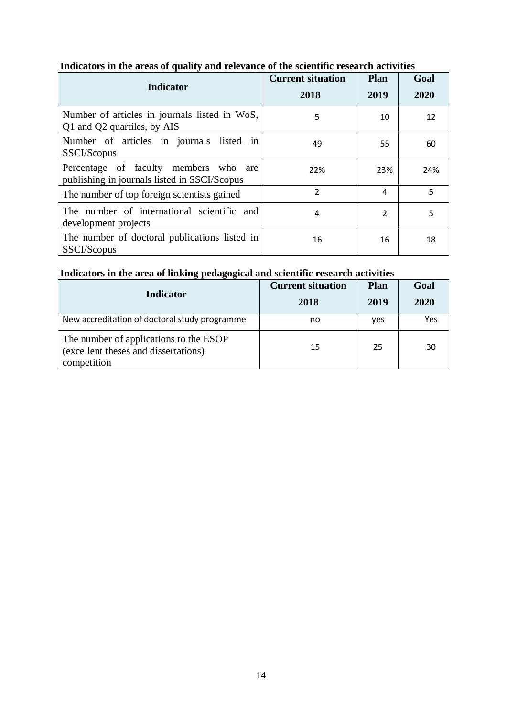| <b>Indicator</b>                                                                      | <b>Current situation</b><br>2018 | <b>Plan</b><br>2019 | Goal<br>2020 |
|---------------------------------------------------------------------------------------|----------------------------------|---------------------|--------------|
| Number of articles in journals listed in WoS,<br>Q1 and Q2 quartiles, by AIS          | 5                                | 10                  | 12           |
| Number of articles in journals listed in<br>SSCI/Scopus                               | 49                               | 55                  | 60           |
| Percentage of faculty members who are<br>publishing in journals listed in SSCI/Scopus | 22%                              | 23%                 | 24%          |
| The number of top foreign scientists gained                                           | $\overline{2}$                   | 4                   | 5            |
| The number of international scientific and<br>development projects                    | 4                                | 2                   | 5            |
| The number of doctoral publications listed in<br>SSCI/Scopus                          | 16                               | 16                  | 18           |

## **Indicators in the areas of quality and relevance of the scientific research activities**

## **Indicators in the area of linking pedagogical and scientific research activities**

| <b>Indicator</b>                                                                              | <b>Current situation</b><br>2018 | <b>Plan</b><br>2019 | Goal<br>2020 |
|-----------------------------------------------------------------------------------------------|----------------------------------|---------------------|--------------|
| New accreditation of doctoral study programme                                                 | no                               | <b>ves</b>          | Yes          |
| The number of applications to the ESOP<br>(excellent theses and dissertations)<br>competition | 15                               | 25                  | 30           |